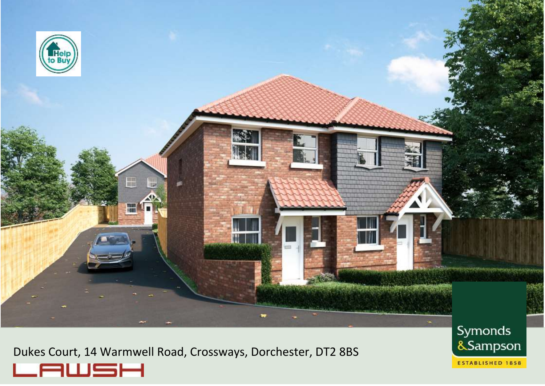

Dukes Court, 14 Warmwell Road, Crossways, Dorchester, DT2 8BS



Symonds &Sampson **ESTABLISHED 1858**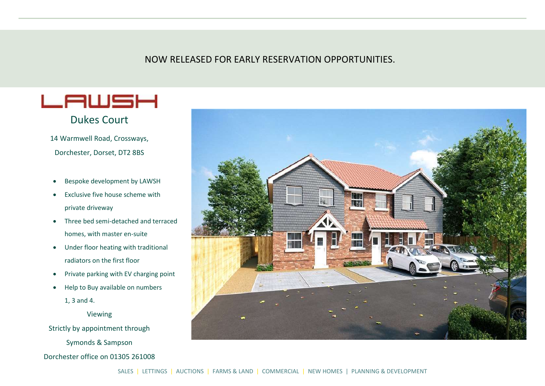# NOW RELEASED FOR EARLY RESERVATION OPPORTUNITIES.



# Dukes Court

14 Warmwell Road, Crossways, Dorchester, Dorset, DT2 8BS

- Bespoke development by LAWSH
- **•** Exclusive five house scheme with private driveway
- Three bed semi-detached and terraced homes, with master en-suite
- Under floor heating with traditional radiators on the first floor
- Private parking with EV charging point
- Help to Buy available on numbers 1, 3 and 4.

Viewing

Strictly by appointment through

Symonds & Sampson

Dorchester office on 01305 261008

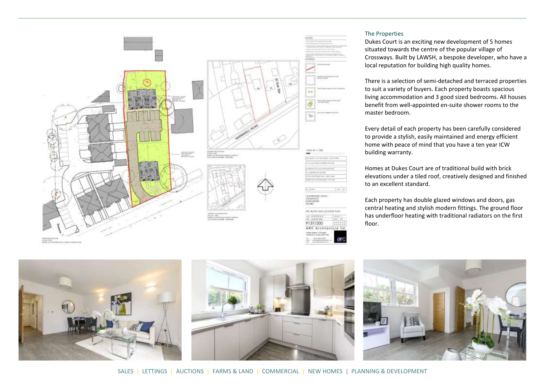

#### The Properties

Dukes Court is an exciting new development of 5 homes situated towards the centre of the popular village of Crossways. Built by LAWSH, a bespoke developer, who have a local reputation for building high quality homes.

There is a selection of semi-detached and terraced properties to suit a variety of buyers. Each property boasts spacious living accommodation and 3 good sized bedrooms. All houses benefit from well-appointed en-suite shower rooms to the master bedroom.

Every detail of each property has been carefully considered to provide a stylish, easily maintained and energy efficient home with peace of mind that you have a ten year ICW building warranty.

Homes at Dukes Court are of traditional build with brick elevations under a tiled roof, creatively designed and finished to an excellent standard.

Each property has double glazed windows and doors, gas central heating and stylish modern fittings. The ground floor has underfloor heating with traditional radiators on the first floor.

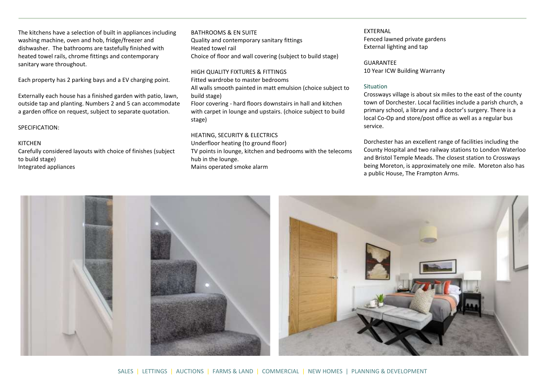The kitchens have a selection of built in appliances including washing machine, oven and hob, fridge/freezer and dishwasher. The bathrooms are tastefully finished with heated towel rails, chrome fittings and contemporary sanitary ware throughout.

Each property has 2 parking bays and a EV charging point.

Externally each house has a finished garden with patio, lawn, outside tap and planting. Numbers 2 and 5 can accommodate a garden office on request, subject to separate quotation.

SPECIFICATION:

#### KITCHEN

Carefully considered layouts with choice of finishes (subject to build stage) Integrated appliances

## BATHROOMS & EN SUITE Quality and contemporary sanitary fittings Heated towel rail Choice of floor and wall covering (subject to build stage)

HIGH QUALITY FIXTURES & FITTINGS Fitted wardrobe to master bedrooms All walls smooth painted in matt emulsion (choice subject to build stage) Floor covering - hard floors downstairs in hall and kitchen with carpet in lounge and upstairs. (choice subject to build stage)

#### HEATING, SECURITY & ELECTRICS Underfloor heating (to ground floor)

TV points in lounge, kitchen and bedrooms with the telecoms hub in the lounge. Mains operated smoke alarm

## **EXTERNAL** Fenced lawned private gardens External lighting and tap

GUARANTEE 10 Year ICW Building Warranty

#### Situation

Crossways village is about six miles to the east of the county town of Dorchester. Local facilities include a parish church, a primary school, a library and a doctor's surgery. There is a local Co-Op and store/post office as well as a regular bus service.

Dorchester has an excellent range of facilities including the County Hospital and two railway stations to London Waterloo and Bristol Temple Meads. The closest station to Crossways being Moreton, is approximately one mile. Moreton also has a public House, The Frampton Arms.



SALES | LETTINGS | AUCTIONS | FARMS & LAND | COMMERCIAL | NEW HOMES | PLANNING & DEVELOPMENT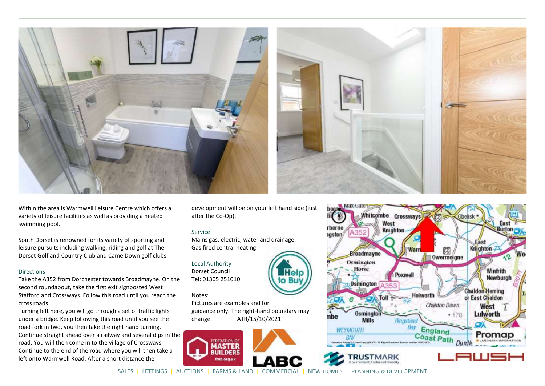

**Contract** 

Within the area is Warmwell Leisure Centre which offers a variety of leisure facilities as well as providing a heated swimming pool.

South Dorset is renowned for its variety of sporting and leisure pursuits including walking, riding and golf at The Dorset Golf and Country Club and Came Down golf clubs.

#### **Directions**

Take the A352 from Dorchester towards Broadmayne. On the second roundabout, take the first exit signposted West Stafford and Crossways. Follow this road until you reach the cross roads.

Turning left here, you will go through a set of traffic lights under a bridge. Keep following this road until you see the road fork in two, you then take the right hand turning. Continue straight ahead over a railway and several dips in the road. You will then come in to the village of Crossways. Continue to the end of the road where you will then take a left onto Warmwell Road. After a short distance the

development will be on your left hand side (just after the Co-Op).

#### Service

Mains gas, electric, water and drainage. Gas fired central heating.

Local Authority Dorset Council Tel: 01305 251010.

#### Notes:

Pictures are examples and for guidance only. The right-hand boundary may change. ATR/15/10/2021





SALES | LETTINGS | AUCTIONS | FARMS & LAND | COMMERCIAL | NEW HOMES | PLANNING & DEVELOPMENT